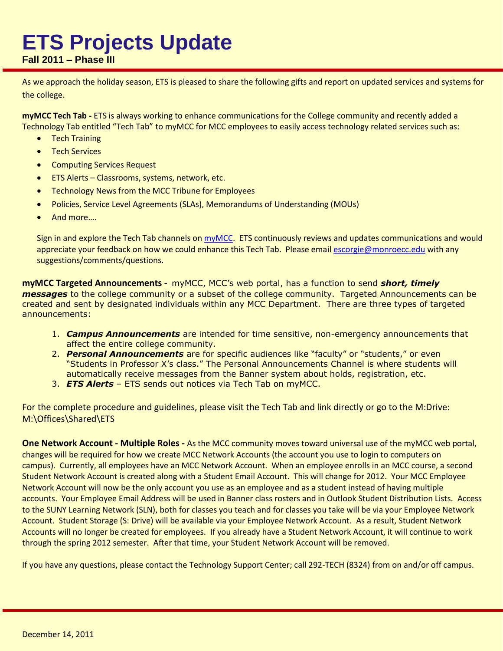## **ETS Projects Update**

## **Fall 2011 – Phase III**

As we approach the holiday season, ETS is pleased to share the following gifts and report on updated services and systems for the college.

**myMCC Tech Tab -** ETS is always working to enhance communications for the College community and recently added a Technology Tab entitled "Tech Tab" to myMCC for MCC employees to easily access technology related services such as:

- Tech Training
- **•** Tech Services
- Computing Services Request
- **•** ETS Alerts Classrooms, systems, network, etc.
- Technology News from the MCC Tribune for Employees
- Policies, Service Level Agreements (SLAs), Memorandums of Understanding (MOUs)
- And more….

Sign in and explore the Tech Tab channels o[n myMCC.](file://monroecc.edu/dfs01/Services/M-Drive/Offices/Educational%20Technology%20Services/Shared/C4/myMCC.monroecc.edu) ETS continuously reviews and updates communications and would appreciate your feedback on how we could enhance this Tech Tab. Please email [escorgie@monroecc.edu](mailto:escorgie@monroecc.edu) with any suggestions/comments/questions.

**myMCC Targeted Announcements -** myMCC, MCC's web portal, has a function to send *short, timely messages* to the college community or a subset of the college community. Targeted Announcements can be created and sent by designated individuals within any MCC Department. There are three types of targeted announcements:

- 1. *Campus Announcements* are intended for time sensitive, non-emergency announcements that affect the entire college community.
- 2. *Personal Announcements* are for specific audiences like "faculty" or "students," or even "Students in Professor X's class." The Personal Announcements Channel is where students will automatically receive messages from the Banner system about holds, registration, etc.
- 3. *ETS Alerts*  ETS sends out notices via Tech Tab on myMCC.

For the complete procedure and guidelines, please visit the Tech Tab and link directly or go to the M:Drive: M:\Offices\Shared\ETS

**One Network Account - Multiple Roles -** As the MCC community moves toward universal use of the myMCC web portal, changes will be required for how we create MCC Network Accounts (the account you use to login to computers on campus). Currently, all employees have an MCC Network Account. When an employee enrolls in an MCC course, a second Student Network Account is created along with a Student Email Account. This will change for 2012. Your MCC Employee Network Account will now be the only account you use as an employee and as a student instead of having multiple accounts. Your Employee Email Address will be used in Banner class rosters and in Outlook Student Distribution Lists. Access to the SUNY Learning Network (SLN), both for classes you teach and for classes you take will be via your Employee Network Account. Student Storage (S: Drive) will be available via your Employee Network Account. As a result, Student Network Accounts will no longer be created for employees. If you already have a Student Network Account, it will continue to work through the spring 2012 semester. After that time, your Student Network Account will be removed.

If you have any questions, please contact the Technology Support Center; call 292-TECH (8324) from on and/or off campus.